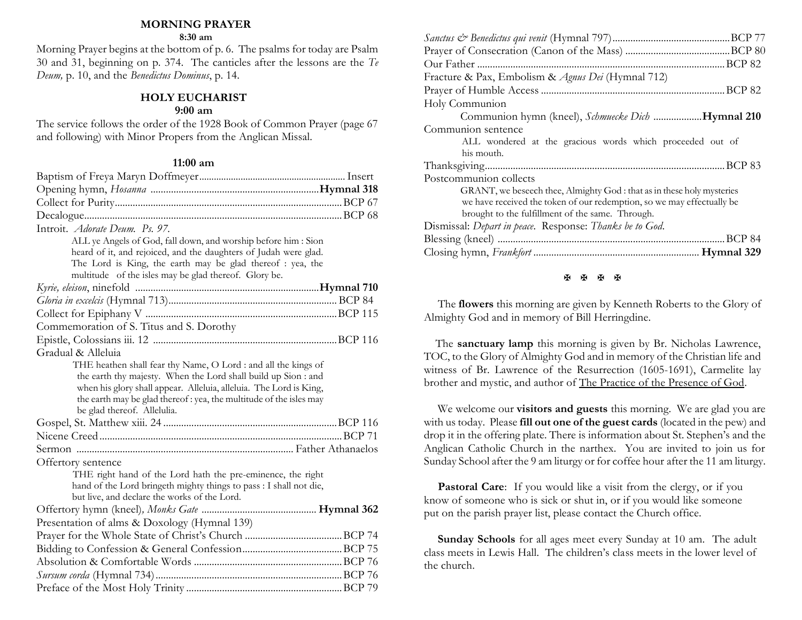#### **MORNING PRAYER**

#### **8:30 am**

Morning Prayer begins at the bottom of p. 6. The psalms for today are Psalm 30 and 31, beginning on p. 374. The canticles after the lessons are the *Te Deum,* p. 10, and the *Benedictus Dominus*, p. 14.

### **HOLY EUCHARIST**

### **9:00 am**

The service follows the order of the 1928 Book of Common Prayer (page 67 and following) with Minor Propers from the Anglican Missal.

#### **11:00 am**

| Introit. Adorate Deum. Ps. 97.                                     |  |
|--------------------------------------------------------------------|--|
| ALL ye Angels of God, fall down, and worship before him : Sion     |  |
| heard of it, and rejoiced, and the daughters of Judah were glad.   |  |
| The Lord is King, the earth may be glad thereof : yea, the         |  |
| multitude of the isles may be glad thereof. Glory be.              |  |
|                                                                    |  |
|                                                                    |  |
|                                                                    |  |
| Commemoration of S. Titus and S. Dorothy                           |  |
|                                                                    |  |
| Gradual & Alleluia                                                 |  |
| THE heathen shall fear thy Name, O Lord : and all the kings of     |  |
| the earth thy majesty. When the Lord shall build up Sion : and     |  |
| when his glory shall appear. Alleluia, alleluia. The Lord is King, |  |
| the earth may be glad thereof: yea, the multitude of the isles may |  |
| be glad thereof. Allelulia.                                        |  |
|                                                                    |  |
|                                                                    |  |
|                                                                    |  |
| Offertory sentence                                                 |  |
| THE right hand of the Lord hath the pre-eminence, the right        |  |
| hand of the Lord bringeth mighty things to pass : I shall not die, |  |
| but live, and declare the works of the Lord.                       |  |
|                                                                    |  |
| Presentation of alms & Doxology (Hymnal 139)                       |  |
|                                                                    |  |
|                                                                    |  |
|                                                                    |  |
|                                                                    |  |
|                                                                    |  |

| Fracture & Pax, Embolism & Agnus Dei (Hymnal 712)                      |
|------------------------------------------------------------------------|
|                                                                        |
| Holy Communion                                                         |
| Communion hymn (kneel), Schmuecke Dich Hymnal 210                      |
| Communion sentence                                                     |
| ALL wondered at the gracious words which proceeded out of              |
| his mouth.                                                             |
|                                                                        |
| Postcommunion collects                                                 |
| GRANT, we beseech thee, Almighty God: that as in these holy mysteries  |
| we have received the token of our redemption, so we may effectually be |
| brought to the fulfillment of the same. Through.                       |
| Dismissal: Depart in peace. Response: Thanks be to God.                |
| .BCP 84                                                                |
|                                                                        |
|                                                                        |

#### 医医医图

The **flowers** this morning are given by Kenneth Roberts to the Glory of Almighty God and in memory of Bill Herringdine.

 The **sanctuary lamp** this morning is given by Br. Nicholas Lawrence, TOC, to the Glory of Almighty God and in memory of the Christian life and witness of Br. Lawrence of the Resurrection (1605-1691), Carmelite lay brother and mystic, and author of The Practice of the Presence of God.

We welcome our **visitors and guests** this morning. We are glad you are with us today. Please **fill out one of the guest cards** (located in the pew) and drop it in the offering plate. There is information about St. Stephen's and the Anglican Catholic Church in the narthex. You are invited to join us for Sunday School after the 9 am liturgy or for coffee hour after the 11 am liturgy.

Pastoral Care: If you would like a visit from the clergy, or if you know of someone who is sick or shut in, or if you would like someone put on the parish prayer list, please contact the Church office.

**Sunday Schools** for all ages meet every Sunday at 10 am. The adult class meets in Lewis Hall. The children's class meets in the lower level of the church.